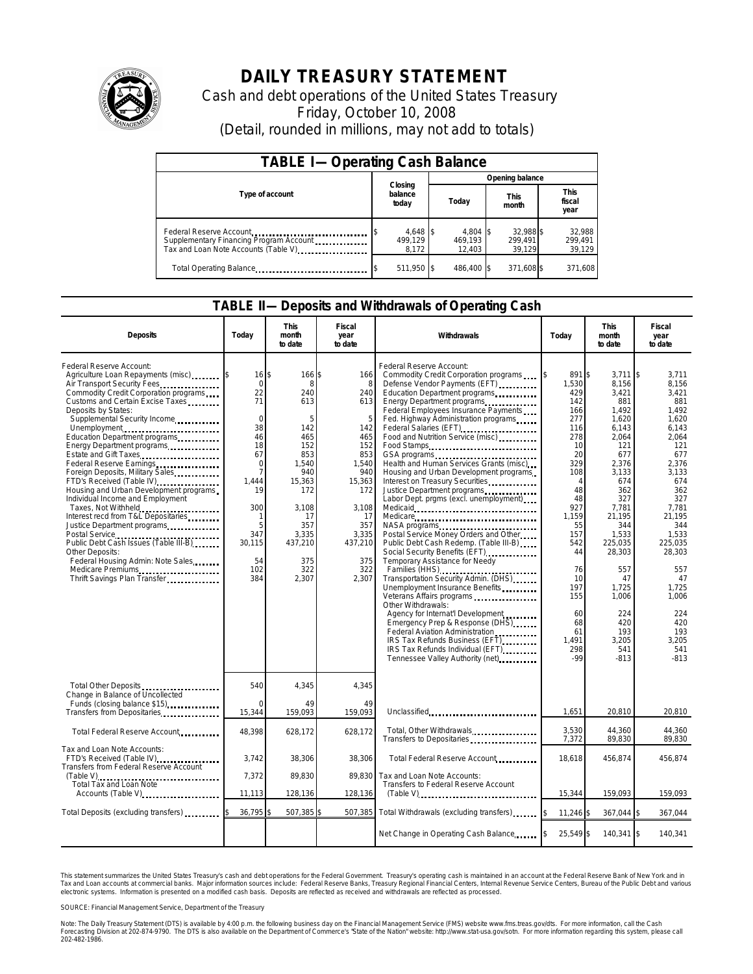

# **DAILY TREASURY STATEMENT**

Cash and debt operations of the United States Treasury Friday, October 10, 2008 (Detail, rounded in millions, may not add to totals)

| <b>TABLE I-Operating Cash Balance</b>                                                                       |                              |                                 |                                |                               |  |  |
|-------------------------------------------------------------------------------------------------------------|------------------------------|---------------------------------|--------------------------------|-------------------------------|--|--|
|                                                                                                             |                              | Opening balance                 |                                |                               |  |  |
| Type of account                                                                                             | Closing<br>balance<br>today  | Today                           | <b>This</b><br>month           | <b>This</b><br>fiscal<br>year |  |  |
| Federal Reserve Account<br>Supplementary Financing Program Account<br>Tax and Loan Note Accounts (Table V). | 4,648 \$<br>499.129<br>8,172 | $4,804$ \$<br>469.193<br>12,403 | 32,988 \$<br>299,491<br>39,129 | 32,988<br>299,491<br>39,129   |  |  |
| Total Operating Balance                                                                                     | 511,950 \$                   | 486.400 \$                      | 371,608 \$                     | 371,608                       |  |  |

### **TABLE II—Deposits and Withdrawals of Operating Cash**

| <b>Deposits</b>                                                                                                                                                                                                                                                                                                                                                                                                                                                                                                                                                                                                                                                                                                                                                                 | Today                                                                                                                                                                   | This<br>month<br>to date                                                                                                                                     | Fiscal<br>year<br>to date                                                                                                                                 | Withdrawals                                                                                                                                                                                                                                                                                                                                                                                                                                                                                                                                                                                                                                                                                                                                                                                                                                                                                                                                                                                                                                                                                                                                                                                                                                            | Today                                                                                                                                                                                                               | <b>This</b><br>month<br>to date                                                                                                                                                                                                                                   | <b>Fiscal</b><br>year<br>to date                                                                                                                                                                                                                              |
|---------------------------------------------------------------------------------------------------------------------------------------------------------------------------------------------------------------------------------------------------------------------------------------------------------------------------------------------------------------------------------------------------------------------------------------------------------------------------------------------------------------------------------------------------------------------------------------------------------------------------------------------------------------------------------------------------------------------------------------------------------------------------------|-------------------------------------------------------------------------------------------------------------------------------------------------------------------------|--------------------------------------------------------------------------------------------------------------------------------------------------------------|-----------------------------------------------------------------------------------------------------------------------------------------------------------|--------------------------------------------------------------------------------------------------------------------------------------------------------------------------------------------------------------------------------------------------------------------------------------------------------------------------------------------------------------------------------------------------------------------------------------------------------------------------------------------------------------------------------------------------------------------------------------------------------------------------------------------------------------------------------------------------------------------------------------------------------------------------------------------------------------------------------------------------------------------------------------------------------------------------------------------------------------------------------------------------------------------------------------------------------------------------------------------------------------------------------------------------------------------------------------------------------------------------------------------------------|---------------------------------------------------------------------------------------------------------------------------------------------------------------------------------------------------------------------|-------------------------------------------------------------------------------------------------------------------------------------------------------------------------------------------------------------------------------------------------------------------|---------------------------------------------------------------------------------------------------------------------------------------------------------------------------------------------------------------------------------------------------------------|
| Federal Reserve Account:<br>Agriculture Loan Repayments (misc) \$<br>Air Transport Security Fees<br>Commodity Credit Corporation programs<br>Customs and Certain Excise Taxes<br>Deposits by States:<br>Supplemental Security Income<br>Unemployment<br>Education Department programs<br>Energy Department programs<br><br>Estate and Gift Taxes<br>Federal Reserve Earnings<br>Foreign Deposits, Military Sales<br>FTD's Received (Table IV)<br>Housing and Urban Development programs<br>Individual Income and Employment<br>Taxes, Not Withheld<br>Interest recd from T&L Depositaries<br>Justice Department programs<br>Public Debt Cash Issues (Table III-B).<br>Other Deposits:<br>Federal Housing Admin: Note Sales<br>Medicare Premiums<br>Thrift Savings Plan Transfer | $16$ $\bar{s}$<br>$\mathbf 0$<br>22<br>71<br>$\Omega$<br>38<br>46<br>18<br>67<br>$\mathbf 0$<br>7<br>1.444<br>19<br>300<br>-1<br>5<br>347<br>30,115<br>54<br>102<br>384 | 166 \$<br>8<br>240<br>613<br>5<br>142<br>465<br>152<br>853<br>1.540<br>940<br>15,363<br>172<br>3,108<br>17<br>357<br>3.335<br>437,210<br>375<br>322<br>2,307 | 166<br>8<br>240<br>613<br>5<br>142<br>465<br>152<br>853<br>1,540<br>940<br>15,363<br>172<br>3,108<br>17<br>357<br>3,335<br>437,210<br>375<br>322<br>2.307 | Federal Reserve Account:<br>Commodity Credit Corporation programs<br>Defense Vendor Payments (EFT)<br>Education Department programs<br>Energy Department programs<br>Federal Employees Insurance Payments<br>Fed. Highway Administration programs<br>Federal Salaries (EFT)<br>Food and Nutrition Service (misc)<br>Food Stamps<br>GSA programs<br>unique vertical contract contract contract contract contract contract contract contract contract contract contract contract contract contract contract contract contract contract contract contract contract con<br>Health and Human Services Grants (misc)<br>Housing and Urban Development programs<br>Interest on Treasury Securities.<br>Justice Department programs<br>Labor Dept. prgms (excl. unemployment)<br>Medicare<br>Postal Service Money Orders and Other<br>Public Debt Cash Redemp. (Table III-B)<br>Temporary Assistance for Needy<br>Families (HHS) <b></b><br>Transportation Security Admin. (DHS)<br>Unemployment Insurance Benefits<br>Other Withdrawals:<br>Agency for Internat'l Development<br>Emergency Prep & Response (DHS)<br>Federal Aviation Administration<br>IRS Tax Refunds Business (EFT)<br>IRS Tax Refunds Individual (EFT)<br>Tennessee Valley Authority (net) | 891 \$<br>1,530<br>429<br>142<br>166<br>277<br>116<br>278<br>10<br>20<br>329<br>108<br>4<br>48<br>48<br>927<br>1.159<br>55<br>157<br>542<br>44<br>76<br>10<br>197<br>155<br>60<br>68<br>61<br>1.491<br>298<br>$-99$ | $3.711$ S<br>8,156<br>3,421<br>881<br>1.492<br>1,620<br>6,143<br>2,064<br>121<br>677<br>2,376<br>3,133<br>674<br>362<br>327<br>7,781<br>21,195<br>344<br>1,533<br>225,035<br>28,303<br>557<br>47<br>1,725<br>1,006<br>224<br>420<br>193<br>3.205<br>541<br>$-813$ | 3,711<br>8,156<br>3,421<br>881<br>1,492<br>1.620<br>6.143<br>2,064<br>121<br>677<br>2,376<br>3,133<br>674<br>362<br>327<br>7.781<br>21.195<br>344<br>1.533<br>225,035<br>28,303<br>557<br>47<br>1,725<br>1,006<br>224<br>420<br>193<br>3.205<br>541<br>$-813$ |
| Total Other Deposits<br>Change in Balance of Uncollected<br>Funds (closing balance \$15)                                                                                                                                                                                                                                                                                                                                                                                                                                                                                                                                                                                                                                                                                        | 540                                                                                                                                                                     | 4,345<br>49                                                                                                                                                  | 4,345<br>49                                                                                                                                               |                                                                                                                                                                                                                                                                                                                                                                                                                                                                                                                                                                                                                                                                                                                                                                                                                                                                                                                                                                                                                                                                                                                                                                                                                                                        | 1,651                                                                                                                                                                                                               | 20,810                                                                                                                                                                                                                                                            | 20,810                                                                                                                                                                                                                                                        |
| Transfers from Depositaries<br>Total Federal Reserve Account                                                                                                                                                                                                                                                                                                                                                                                                                                                                                                                                                                                                                                                                                                                    | 15,344<br>48,398                                                                                                                                                        | 159,093<br>628,172                                                                                                                                           | 159,093<br>628,172                                                                                                                                        | Unclassified<br>Total, Other Withdrawals<br>Transfers to Depositaries                                                                                                                                                                                                                                                                                                                                                                                                                                                                                                                                                                                                                                                                                                                                                                                                                                                                                                                                                                                                                                                                                                                                                                                  | 3,530<br>7,372                                                                                                                                                                                                      | 44,360<br>89,830                                                                                                                                                                                                                                                  | 44.360<br>89,830                                                                                                                                                                                                                                              |
| Tax and Loan Note Accounts:<br>FTD's Received (Table IV)<br>Transfers from Federal Reserve Account                                                                                                                                                                                                                                                                                                                                                                                                                                                                                                                                                                                                                                                                              | 3,742<br>7,372                                                                                                                                                          | 38,306<br>89,830                                                                                                                                             | 38,306<br>89,830                                                                                                                                          | Total Federal Reserve Account<br>Tax and Loan Note Accounts:                                                                                                                                                                                                                                                                                                                                                                                                                                                                                                                                                                                                                                                                                                                                                                                                                                                                                                                                                                                                                                                                                                                                                                                           | 18.618                                                                                                                                                                                                              | 456.874                                                                                                                                                                                                                                                           | 456.874                                                                                                                                                                                                                                                       |
| Total Tax and Loan Note<br>Accounts (Table V)                                                                                                                                                                                                                                                                                                                                                                                                                                                                                                                                                                                                                                                                                                                                   | 11,113                                                                                                                                                                  | 128,136                                                                                                                                                      | 128,136                                                                                                                                                   | Transfers to Federal Reserve Account                                                                                                                                                                                                                                                                                                                                                                                                                                                                                                                                                                                                                                                                                                                                                                                                                                                                                                                                                                                                                                                                                                                                                                                                                   | 15,344                                                                                                                                                                                                              | 159,093                                                                                                                                                                                                                                                           | 159,093                                                                                                                                                                                                                                                       |
| Total Deposits (excluding transfers)                                                                                                                                                                                                                                                                                                                                                                                                                                                                                                                                                                                                                                                                                                                                            | 36,795                                                                                                                                                                  | 507,385                                                                                                                                                      | 507.385                                                                                                                                                   | Total Withdrawals (excluding transfers) [\$                                                                                                                                                                                                                                                                                                                                                                                                                                                                                                                                                                                                                                                                                                                                                                                                                                                                                                                                                                                                                                                                                                                                                                                                            | 11,246 \$                                                                                                                                                                                                           | 367,044 \$                                                                                                                                                                                                                                                        | 367,044                                                                                                                                                                                                                                                       |
|                                                                                                                                                                                                                                                                                                                                                                                                                                                                                                                                                                                                                                                                                                                                                                                 |                                                                                                                                                                         |                                                                                                                                                              |                                                                                                                                                           | Net Change in Operating Cash Balance                                                                                                                                                                                                                                                                                                                                                                                                                                                                                                                                                                                                                                                                                                                                                                                                                                                                                                                                                                                                                                                                                                                                                                                                                   | 25,549 \$                                                                                                                                                                                                           | 140,341 \$                                                                                                                                                                                                                                                        | 140,341                                                                                                                                                                                                                                                       |

This statement summarizes the United States Treasury's cash and debt operations for the Federal Government. Treasury's operating cash is maintained in an account at the Federal Reserve Bank of New York and in<br>Tax and Loan narizes the United States Treasury's cash and debt operations for the Federal Government. Treasury's operating cash is maintained in an account at the Federal Reserve Ba<br>ints at commercial banks. Major information sources

SOURCE: Financial Management Service, Department of the Treasury

Note: The Daily Treasury Statement (DTS) is available by 4:00 p.m. the following business day on the Financial Management Service (FMS) website www.fms.treas.gov/dts.<br>Forecasting Division at 202-874-9790. The DTS is also a 'S) is available by 4:00 p.m. the following business day on the Financial Management Service (FMS) website www.fms.treas.gov/dts. For more information, call the Cash<br>The DTS is also available on the Department of Commerce'